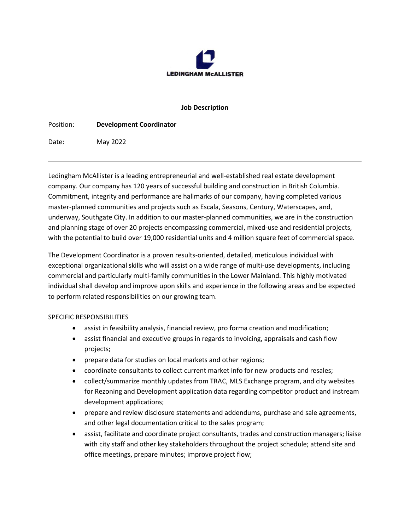

## **Job Description**

Position: **Development Coordinator**

Date: May 2022

Ledingham McAllister is a leading entrepreneurial and well-established real estate development company. Our company has 120 years of successful building and construction in British Columbia. Commitment, integrity and performance are hallmarks of our company, having completed various master-planned communities and projects such as Escala, Seasons, Century, Waterscapes, and, underway, Southgate City. In addition to our master-planned communities, we are in the construction and planning stage of over 20 projects encompassing commercial, mixed-use and residential projects, with the potential to build over 19,000 residential units and 4 million square feet of commercial space.

The Development Coordinator is a proven results-oriented, detailed, meticulous individual with exceptional organizational skills who will assist on a wide range of multi-use developments, including commercial and particularly multi-family communities in the Lower Mainland. This highly motivated individual shall develop and improve upon skills and experience in the following areas and be expected to perform related responsibilities on our growing team.

## SPECIFIC RESPONSIBILITIES

- assist in feasibility analysis, financial review, pro forma creation and modification;
- assist financial and executive groups in regards to invoicing, appraisals and cash flow projects;
- prepare data for studies on local markets and other regions;
- coordinate consultants to collect current market info for new products and resales;
- collect/summarize monthly updates from TRAC, MLS Exchange program, and city websites for Rezoning and Development application data regarding competitor product and instream development applications;
- prepare and review disclosure statements and addendums, purchase and sale agreements, and other legal documentation critical to the sales program;
- assist, facilitate and coordinate project consultants, trades and construction managers; liaise with city staff and other key stakeholders throughout the project schedule; attend site and office meetings, prepare minutes; improve project flow;